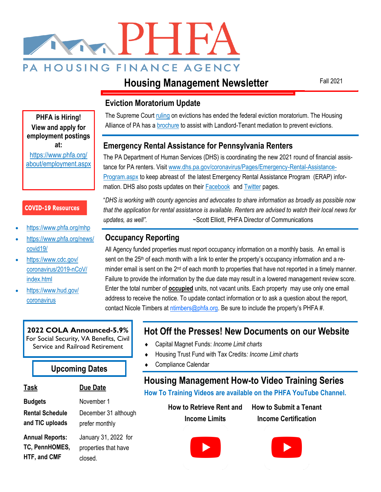

# **Housing Management Newsletter**

Fall 2021

## **Eviction Moratorium Update**

The Supreme Court [ruling](https://www.supremecourt.gov/opinions/20pdf/21a23_ap6c.pdf) on evictions has ended the federal eviction moratorium. The Housing Alliance of PA has a **[brochure](https://housingalliancepa.org/resources/promising-practices-landlord-tenant-mediation/)** to assist with Landlord-Tenant mediation to prevent evictions.

## **Emergency Rental Assistance for Pennsylvania Renters**

The PA Department of Human Services (DHS) is coordinating the new 2021 round of financial assistance for PA renters. Visit [www.dhs.pa.gov/coronavirus/Pages/Emergency-Rental-Assistance-](http://www.dhs.pa.gov/coronavirus/Pages/Emergency-Rental-Assistance-Program.aspx)**[Program.aspx](http://www.dhs.pa.gov/coronavirus/Pages/Emergency-Rental-Assistance-Program.aspx)** to keep abreast of the latest Emergency Rental Assistance Program (ERAP) information. DHS also posts updates on their **Facebook** and **Twitter pages.** 

"*DHS is working with county agencies and advocates to share information as broadly as possible now that the application for rental assistance is available. Renters are advised to watch their local news for updates, as well".* ~Scott Elliott, PHFA Director of Communications

## **Occupancy Reporting**

All Agency funded properties must report occupancy information on a monthly basis. An email is sent on the 25<sup>th</sup> of each month with a link to enter the property's occupancy information and a reminder email is sent on the 2<sup>nd</sup> of each month to properties that have not reported in a timely manner. Failure to provide the information by the due date may result in a lowered management review score. Enter the total number of **occupied** units, not vacant units. Each property may use only one email address to receive the notice. To update contact information or to ask a question about the report, contact Nicole Timbers at [ntimbers@phfa.org](mailto:ntimbers@phfa.org). Be sure to include the property's PHFA #.

# **Hot Off the Presses! New Documents on our Website**

- Capital Magnet Funds: *Income Limit charts*
- Housing Trust Fund with Tax Credits*: Income Limit charts*
- Compliance Calendar **Upcoming Dates**

# **Housing Management How-to Video Training Series**

**How To Training Videos are available on the PHFA YouTube Channel.** 

**How to Retrieve Rent and Income Limits**

**How to Submit a Tenant Income Certification**









**Annual Reports: TC, PennHOMES, HTF, and CMF**

January 31, 2022 for

properties that have closed.

**2022 COLA Announced-5.9%** For Social Security, VA Benefits, Civil



• <https://www.phfa.org/mhp> • [https://www.phfa.org/news/](https://www.phfa.org/news/covid19/)

**COVID-19 Resources** 

**PHFA is Hiring! View and apply for employment postings at:** [https://www.phfa.org/](https://www.phfa.org/about/employment.aspx) [about/employment.aspx](https://www.phfa.org/about/employment.aspx)

• [https://www.cdc.gov/](https://www.cdc.gov/coronavirus/2019-nCoV/index.html) [coronavirus/2019-nCoV/](https://www.cdc.gov/coronavirus/2019-nCoV/index.html)

• [https://www.hud.gov/](http://www.Hud.gov/coronavirus)

[covid19/](https://www.phfa.org/news/covid19/)

[index.html](https://www.cdc.gov/coronavirus/2019-nCoV/index.html)

[coronavirus](http://www.Hud.gov/coronavirus) 

# **Task Due Date**

**Budgets** November 1